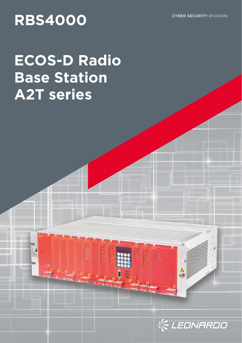## RBS4000 **CYBER SECURITY DIVISION**

# **ECOS-D Radio Base Station A2T series**



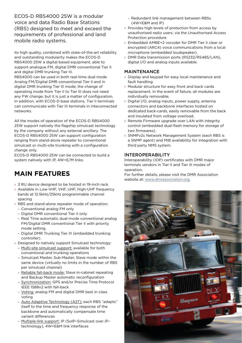ECOS-D RBS4000 25W is a modular voice and data Radio Base Stations (RBS) designed to meet and exceed the requirements of professional and land mobile radio systems.

Its high quality, combined with state-of-the-art reliability and outstanding modularity makes the ECOS-D RBS4000 25W a digital based equipment, able to support analogue FM, digital DMR conventional Tier II and digital DMR trunking Tier III. RBS4000 can be used in both real-time dual mode Analog FM/Digital DMR conventional Tier II and in digital DMR trunking Tier III mode; the change of operating mode from Tier II to Tier III does not need any FW change, but it is just a matter of configuration. In addition, with ECOS-D base stations, Tier II terminals can communicate with Tier III terminals in inteconnected networks.

All the modes of operation of the ECOS-D RBS4000 25W support natively the flagship simulcast technology by the company without any external ancillary. The ECOS-D RBS4000 25W can support configuration ranging from stand-alone repeater to conventional simulcast or multi-site trunking with a configuration change only.

ECOS-D RBS4000 25W can be connected to build a system natively with IP, 4W+E/M links.

## **MAIN FEATURES**

- > 3 RU device designed to be hosted in 19-inch rack
- › Available in Low-VHF, VHF, UHF, High-UHF frequency bands at 12.5kHz/25kHz programmable channel spacing
- › RBS and stand-alone repeater mode of operation:
	- Conventional analog FM only
	- Digital DMR conventional Tier II only
	- Real Time automatic dual-mode conventional analog FM/Digital DMR conventional Tier II with priority mode setting.
	- Digital DMR Trunking Tier III (embedded trunking controller).
- › Designed to natively support Simulcast technology:
	- Multi-site simulcast support: available for both conventional and trunking operations
	- Simulcast Master, Sub-Master, Slave mode within the same device (virtually no limits in the number of RBS per simulcast channel)
	- Reliable fall-back mode: Slave in-cabinet repeating and Backup Master automatic reconfiguration
	- Synchronization: GPS and/or Precise Time Protocol IEEE 1588v2 with fall-back
	- Voting: analog FM and digital DMR best in class voting
	- Auto Adaptive Technology (A2T): each RBS "adapts" itself to the time and frequency response of the backbone and automatically compensate time variant differences
	- Multiple-link support: IP (SoIP–Simulcast over IP– technology), 4W+E&M link interfaces
- Redundant link management between RBSs (4W+E&M and IP)
- › Provides high levels of protection from access by unauthorised radio users, via the Unauthorised Access Protection procedure
- › Embedded AMBE+2 vocoder for DMR Tier II clear or encrypted (ARC4) voice communications from a local microphone (embedded loudspeaker).
- › DMR Data transmission ports (RS232/RS485/LAN), digital I/O and analog inputs available.

#### MAINTENANCE

- › Display and keypad for easy local maintenance and fault handling.
- › Modular structure for easy front and back cards replacement. In the event of failure, all modules are individually removable.
- › Digital I/O, analog inputs, power supply, antenna connectors and backbone interfaces hosted on dedicated back-cards, easily removable from the back and insulated from voltage overload.
- › Remote Firmware upgrade over LAN with integrity control (embedded dual-flash memory for storage of two firmwares).
- › SNMPv2c Network Management System (each RBS is a SNMP agent) and MIB availability for integration with third party NMS system.

### INTEROPERABILITY

Interoperability (IOP) certificates with DMR major terminals vendors in Tier II and Tier III modes of operation.

For further details, please visit the DMR Association website at: www.dmrassociation.org.

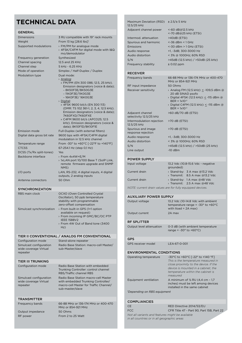## **TECHNICAL DATA**

| <b>GENERAL</b>                                               |                                                                                                                                                                                                                                                        |
|--------------------------------------------------------------|--------------------------------------------------------------------------------------------------------------------------------------------------------------------------------------------------------------------------------------------------------|
| <b>Dimensions</b>                                            | 3 RU compatible with 19" rack mounts                                                                                                                                                                                                                   |
| Weight                                                       | From 13 kg [28.6 lbs] <sup>1</sup>                                                                                                                                                                                                                     |
| Supported modulations                                        | > FM/PM for analogue mode<br>> 4FSK/C4FM for digital mode with I&Q<br>mo/demodulator                                                                                                                                                                   |
| Frequency generation                                         | Synthesized                                                                                                                                                                                                                                            |
| Channel spacing                                              | 12.5 and 25 KHz                                                                                                                                                                                                                                        |
| Channel step                                                 | 5 kHz - 6.25 KHz                                                                                                                                                                                                                                       |
| Mode of operation                                            | Simplex / Half-Duplex / Duplex                                                                                                                                                                                                                         |
| Modulation type                                              | Dual mode:<br>> Analog:<br>» FM/PM (EN 300 086; 12.5, 25 kHz).<br>Emission designators (voice & data);<br>– 8K50F3E/8K50G3E<br>- 11K0F3E/11K0G3E<br>– 16K0F3E/ 16K0G3E                                                                                 |
|                                                              | > Digital:<br>» 4FSK 9600 bit/s (EN 300 113)<br>(DMR: TS 102 361-1, 2, 3, 4, 12.5 kHz).<br>Emission designators (voice & data);<br>7K60FXD/7K60FXE<br>» C4FM 9600 bit/s (APCO25; 12.5<br>kHz). Emission designators (voice &<br>data); 8K10F1D/8K10F1E |
| Emission mode                                                | Full-Duplex (with external filters)                                                                                                                                                                                                                    |
| Digital data gross bit rate                                  | 9600 bps with 4FSK/C4FM digital<br>modulation in 12.5 kHz channel                                                                                                                                                                                      |
| Temperature range                                            | From -30° to +60°C [-22°F to +140°F]                                                                                                                                                                                                                   |
| <b>CTCSS</b>                                                 | 67-254.1 Hz (step 0,1 Hz)                                                                                                                                                                                                                              |
| DCSS (Tx/Rx split-tones)<br>Backbone interface               | Yes<br>> From 4x4W+E/M                                                                                                                                                                                                                                 |
|                                                              | > 1xLAN port 10/100 Base T (SoIP Link,<br>remote firmware upgrade and SNMP<br>NMS)                                                                                                                                                                     |
| $I/O$ ports                                                  | LAN, RS-232, 4 digital inputs, 4 digital<br>outputs, 2 analog inputs                                                                                                                                                                                   |
| Antenna connectors                                           | 50 Ohm                                                                                                                                                                                                                                                 |
|                                                              |                                                                                                                                                                                                                                                        |
| <b>SYNCHRONIZATION</b>                                       |                                                                                                                                                                                                                                                        |
| RBS main clock                                               | OCXO (Oven Controlled Crystal<br>Oscillator), 50 ppb temperature<br>stability with programmable<br>zero-offset compensation                                                                                                                            |
| Simulcast synchronization                                    | > From built-in GPS (1+1 option<br>available on request)<br>> From incoming IP GMC/BC/OC PTP<br><b>IEEE 1588V2</b><br>> From 4W Out of Band tone (3400<br>Hz)                                                                                          |
|                                                              |                                                                                                                                                                                                                                                        |
|                                                              | TIER II CONVENTIONAL / ANALOG FM CONVENTIONAL                                                                                                                                                                                                          |
| Configuration mode                                           | Stand-alone repeater                                                                                                                                                                                                                                   |
| Simulcast configuration<br>wide coverage Virtual<br>repeater | Radio Base Station: macro-cell Master/<br>sub-Master/slave                                                                                                                                                                                             |
| <b>TIER III TRUNKING</b>                                     |                                                                                                                                                                                                                                                        |
| Configuration mode                                           | Radio Base Station with embedded<br>Trunking Controller: control channel<br>RBS/Traffic channel RBS                                                                                                                                                    |
| Simulcast configuration<br>wide coverage Virtual<br>repeater | Radio Base Station macro-cell Master<br>with embedded Trunking Controller/<br>macro-cell Master for Traffic Channel/<br>sub-master/slave                                                                                                               |
| <b>TRANSMITTER</b>                                           |                                                                                                                                                                                                                                                        |
| Frequency bands                                              | 66-88 MHz or 136-174 MHz or 400-470<br>MHz or 854-921 MHz                                                                                                                                                                                              |
| Output impedance                                             | 50 Ohms<br>From 2 to 25 Watt                                                                                                                                                                                                                           |

| Maximum Deviation (RSD) $\pm 2.5/\pm 5$ kHz<br>12.5/25 kHz |                                                                                                                                                                      |  |
|------------------------------------------------------------|----------------------------------------------------------------------------------------------------------------------------------------------------------------------|--|
| Adjacent channel power                                     | <-60 dB@12.5 kHz<br><-70 dB@25 kHz (ETSI)                                                                                                                            |  |
| Intermod, attenuation                                      | >40dB (ETSI)                                                                                                                                                         |  |
| Spurious and harmonic                                      | <-36 dBm < 1 GHz                                                                                                                                                     |  |
| Emissions                                                  | $<$ -30 dBm > 1 GHz (ETSI)                                                                                                                                           |  |
| Audio response                                             | +1, -3dB; 300-3000 Hz                                                                                                                                                |  |
| Audio distortion<br>S/N                                    | < 3% @ 1000Hz; 60% RSD<br>>45dB (12.5 kHz) / >50dB (25 kHz)                                                                                                          |  |
| Frequency stability                                        | $± 0.02$ ppm                                                                                                                                                         |  |
|                                                            |                                                                                                                                                                      |  |
| <b>RECEIVER</b>                                            |                                                                                                                                                                      |  |
| Frequency bands                                            | 66-88 MHz or 136-174 MHz or 400-470<br>MHz or 854-921 MHz                                                                                                            |  |
| RF input impedance<br>Receiver sensitivity                 | 50 Ohms<br>> Analog FM (12.5 kHz): < -109,5 dBm @                                                                                                                    |  |
|                                                            | 20 dB SINAD psofo                                                                                                                                                    |  |
|                                                            | > Digital 4FSK (12.5 kHz): < -115 dBm @                                                                                                                              |  |
|                                                            | $BER = 1x10^{-2}$<br>> Digital C4FM (12.5 kHz): < -115 dBm @                                                                                                         |  |
|                                                            | $BER = 1x10^{-2}$                                                                                                                                                    |  |
| Adjacent channel<br>selectivity 12.5/25 kHz                | >60 dB/70 dB (ETSI)                                                                                                                                                  |  |
| Intermodulation rejection<br>12.5/25 kHz                   | >70 dB (ETSI)                                                                                                                                                        |  |
| Spurious and image<br>response rejection                   | >70 dB (ETSI)                                                                                                                                                        |  |
| Audio response                                             | +1, -3dB; 300-3000 Hz                                                                                                                                                |  |
| Audio distortion<br>S/N                                    | < 3% @ 1000Hz; 60% RSD<br>>45dB (12.5 kHz) / >50dB (25 kHz)                                                                                                          |  |
| Line output                                                | $-10$ dBm                                                                                                                                                            |  |
| <b>POWER SUPPLY</b>                                        |                                                                                                                                                                      |  |
| Input voltage                                              | 13.2 Vdc (10.8-15.6 Vdc - negative<br>grounded)                                                                                                                      |  |
| Current drain                                              | > Stand-by: 3 A max @13.2 Vdc<br>> Transmit: 8.5 A max @13.2 Vdc                                                                                                     |  |
| Current drain                                              | > Stand-by: 1 A max @48 Vdc<br>> Transmit: 2.5 A max @48 Vdc                                                                                                         |  |
|                                                            | NOTE: current drain values are for fully equipped devices.                                                                                                           |  |
| AUXILIARY POWER SUPPLY                                     |                                                                                                                                                                      |  |
| Output voltage                                             | 13.2 Vdc (10-14.8 Vdc with ambient                                                                                                                                   |  |
|                                                            | temperature range = $-30^\circ$ to $+60^\circ$ C                                                                                                                     |  |
| Output current                                             | with Iload = $2A$ max)<br>2A max                                                                                                                                     |  |
|                                                            |                                                                                                                                                                      |  |
| <b>RF SPLITTER</b>                                         |                                                                                                                                                                      |  |
| Output level attenuation                                   | 0-3 dB (with ambient temperature<br>range = $-30^\circ$ to $+60^\circ$ C)                                                                                            |  |
|                                                            |                                                                                                                                                                      |  |
| GPS                                                        |                                                                                                                                                                      |  |
| GPS receiver model                                         | LEA-6T-0-001                                                                                                                                                         |  |
| <b>ENVIRONMENTAL CONDITIONS</b>                            |                                                                                                                                                                      |  |
| Operating temperature                                      | -30°C to +60°C [-22° to +140 °F]                                                                                                                                     |  |
|                                                            | This is the temperature measured in<br>close proximity to the device. If the<br>device is mounted in a cabinet, the<br>temperature within the cabinet is<br>measured |  |
| Equipment ventilation                                      | A minimum of $\frac{1}{2}$ RU (4,4 cm - 1,7<br>inches) must be left among devices<br>installed in the same cabinet                                                   |  |
| <sup>1</sup> Depending on RBS equipment                    |                                                                                                                                                                      |  |
| <b>COMPLIANCIES</b>                                        |                                                                                                                                                                      |  |
| <b>CE</b>                                                  | RED Directive 2014/53/EU                                                                                                                                             |  |
| <b>FCC</b>                                                 | CFR Title 47 - Part 90, Part 15B, Part 22                                                                                                                            |  |

*Not all variants and features might be available in all countries or in all geographic areas*